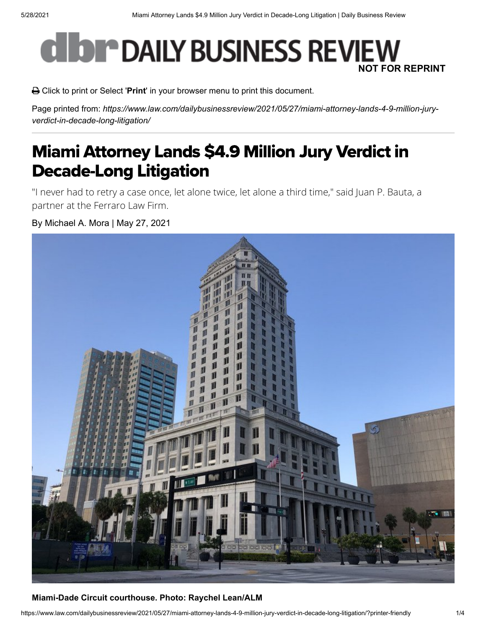# **CHOP DAILY BUSINESS REVIEW NOT FOR REPRINT**

Click to print or Select '**Print**' in your browser menu to print this document.

Page printed from: *https://www.law.com/dailybusinessreview/2021/05/27/miami-attorney-lands-4-9-million-juryverdict-in-decade-long-litigation/*

# Miami Attorney Lands \$4.9 Million Jury Verdict in Decade-Long Litigation

"I never had to retry a case once, let alone twice, let alone a third time," said Juan P. Bauta, a partner at the Ferraro Law Firm.

By Michael A. Mora | May 27, 2021



#### **Miami-Dade Circuit courthouse. Photo: Raychel Lean/ALM**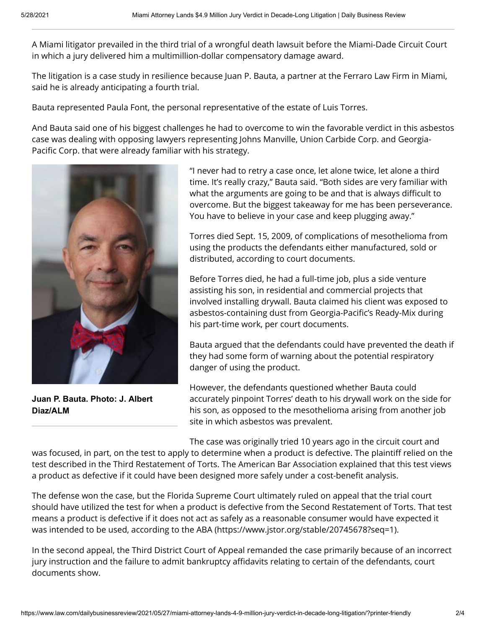A Miami litigator prevailed in the third trial of a wrongful death lawsuit before the Miami-Dade Circuit Court in which a jury delivered him a multimillion-dollar compensatory damage award.

The litigation is a case study in resilience because Juan P. Bauta, a partner at the Ferraro Law Firm in Miami, said he is already anticipating a fourth trial.

Bauta represented Paula Font, the personal representative of the estate of Luis Torres.

And Bauta said one of his biggest challenges he had to overcome to win the favorable verdict in this asbestos case was dealing with opposing lawyers representing Johns Manville, Union Carbide Corp. and Georgia-Pacific Corp. that were already familiar with his strategy.



**Juan P. Bauta. Photo: J. Albert Diaz/ALM**

"I never had to retry a case once, let alone twice, let alone a third time. It's really crazy," Bauta said. "Both sides are very familiar with what the arguments are going to be and that is always difficult to overcome. But the biggest takeaway for me has been perseverance. You have to believe in your case and keep plugging away."

Torres died Sept. 15, 2009, of complications of mesothelioma from using the products the defendants either manufactured, sold or distributed, according to court documents.

Before Torres died, he had a full-time job, plus a side venture assisting his son, in residential and commercial projects that involved installing drywall. Bauta claimed his client was exposed to asbestos-containing dust from Georgia-Pacific's Ready-Mix during his part-time work, per court documents.

Bauta argued that the defendants could have prevented the death if they had some form of warning about the potential respiratory danger of using the product.

However, the defendants questioned whether Bauta could accurately pinpoint Torres' death to his drywall work on the side for his son, as opposed to the mesothelioma arising from another job site in which asbestos was prevalent.

The case was originally tried 10 years ago in the circuit court and

was focused, in part, on the test to apply to determine when a product is defective. The plaintiff relied on the test described in the Third Restatement of Torts. The American Bar Association explained that this test views a product as defective if it could have been designed more safely under a cost-benefit analysis.

The defense won the case, but the Florida Supreme Court ultimately ruled on appeal that the trial court should have utilized the test for when a product is defective from the Second Restatement of Torts. That test means a product is defective if it does not act as safely as a reasonable consumer would have expected it was intended to be used, [according to the ABA \(https://www.jstor.org/stable/20745678?seq=1\).](https://www.jstor.org/stable/20745678?seq=1)

In the second appeal, the Third District Court of Appeal remanded the case primarily because of an incorrect jury instruction and the failure to admit bankruptcy affidavits relating to certain of the defendants, court documents show.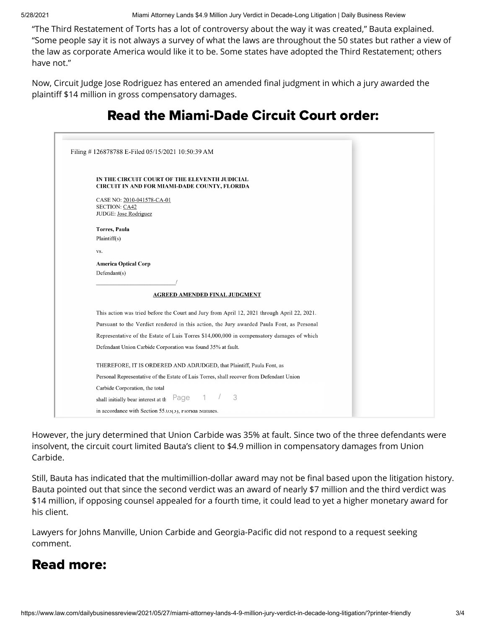5/28/2021 Miami Attorney Lands \$4.9 Million Jury Verdict in Decade-Long Litigation | Daily Business Review

"The Third Restatement of Torts has a lot of controversy about the way it was created," Bauta explained. "Some people say it is not always a survey of what the laws are throughout the 50 states but rather a view of the law as corporate America would like it to be. Some states have adopted the Third Restatement; others have not."

Now, Circuit Judge Jose Rodriguez has entered an amended final judgment in which a jury awarded the plaintiff \$14 million in gross compensatory damages.

| Filing #126878788 E-Filed 05/15/2021 10:50:39 AM                                            |
|---------------------------------------------------------------------------------------------|
|                                                                                             |
| IN THE CIRCUIT COURT OF THE ELEVENTH JUDICIAL                                               |
| <b>CIRCUIT IN AND FOR MIAMI-DADE COUNTY, FLORIDA</b>                                        |
| CASE NO: 2010-041578-CA-01                                                                  |
| <b>SECTION: CA42</b>                                                                        |
| JUDGE: Jose Rodriguez                                                                       |
| <b>Torres</b> , Paula                                                                       |
| Plaintiff(s)                                                                                |
| VS.                                                                                         |
| <b>America Optical Corp</b>                                                                 |
| Defendant(s)                                                                                |
|                                                                                             |
| <b>AGREED AMENDED FINAL JUDGMENT</b>                                                        |
| This action was tried before the Court and Jury from April 12, 2021 through April 22, 2021. |
| Pursuant to the Verdict rendered in this action, the Jury awarded Paula Font, as Personal   |
| Representative of the Estate of Luis Torres \$14,000,000 in compensatory damages of which   |
| Defendant Union Carbide Corporation was found 35% at fault.                                 |
| THEREFORE, IT IS ORDERED AND ADJUDGED, that Plaintiff, Paula Font, as                       |
| Personal Representative of the Estate of Luis Torres, shall recover from Defendant Union    |
| Carbide Corporation, the total                                                              |
| 3<br>1<br>Page<br>shall initially bear interest at th                                       |
| in accordance with Section 55.03(3), riorida Statutes.                                      |

## Read the Miami-Dade Circuit Court order:

However, the jury determined that Union Carbide was 35% at fault. Since two of the three defendants were insolvent, the circuit court limited Bauta's client to \$4.9 million in compensatory damages from Union Carbide.

Still, Bauta has indicated that the multimillion-dollar award may not be final based upon the litigation history. Bauta pointed out that since the second verdict was an award of nearly \$7 million and the third verdict was \$14 million, if opposing counsel appealed for a fourth time, it could lead to yet a higher monetary award for his client.

Lawyers for Johns Manville, Union Carbide and Georgia-Pacific did not respond to a request seeking comment.

### Read more: